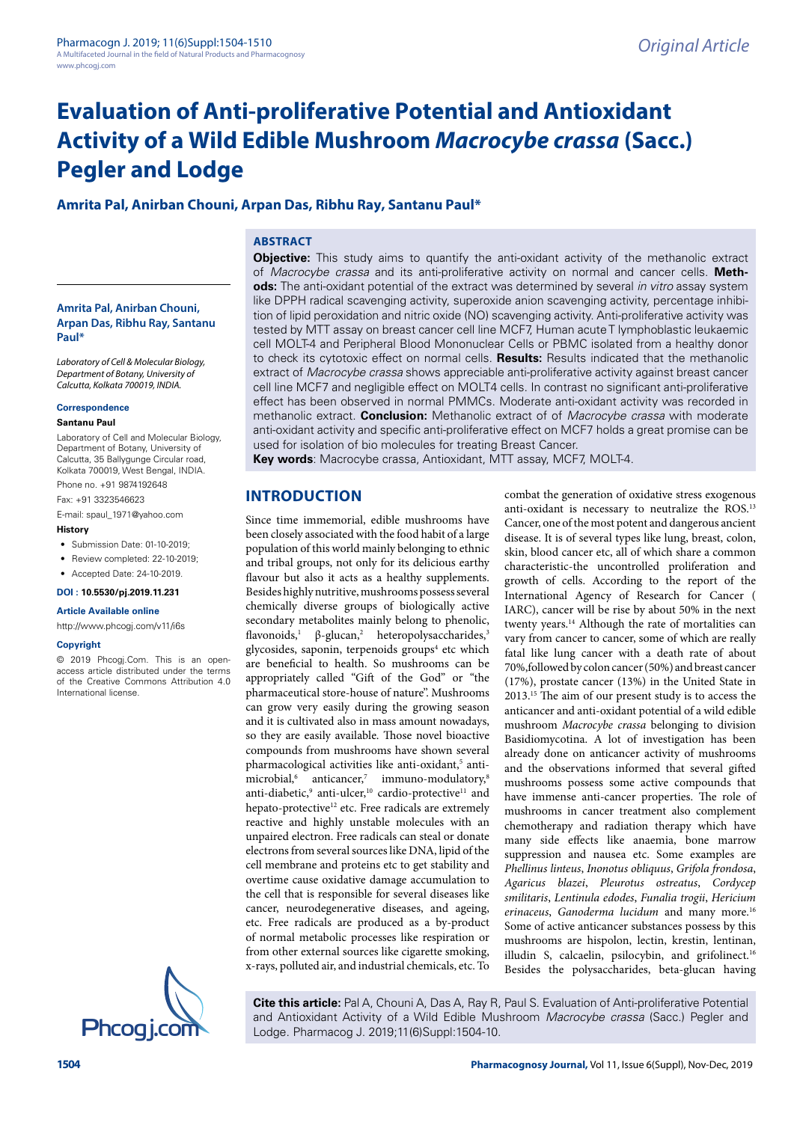# **Evaluation of Anti-proliferative Potential and Antioxidant Activity of a Wild Edible Mushroom Macrocybe crassa (Sacc.) Pegler and Lodge**

#### **Amrita Pal, Anirban Chouni, Arpan Das, Ribhu Ray, Santanu Paul\***

#### **ABSTRACT**

**Amrita Pal, Anirban Chouni, Arpan Das, Ribhu Ray, Santanu Paul\***

Laboratory of Cell & Molecular Biology, Department of Botany, University of Calcutta, Kolkata 700019, INDIA.

#### **Correspondence**

#### **Santanu Paul**

Laboratory of Cell and Molecular Biology, Department of Botany, University of Calcutta, 35 Ballygunge Circular road, Kolkata 700019, West Bengal, INDIA. Phone no. +91 9874192648

Fax: +91 3323546623

E-mail: spaul\_1971@yahoo.com

#### **History**

- Submission Date: 01-10-2019:
- Review completed: 22-10-2019:
- Accepted Date: 24-10-2019.

**DOI : 10.5530/pj.2019.11.231**

**Article Available online** 

http://www.phcogj.com/v11/i6s

#### **Copyright**

© 2019 Phcogj.Com. This is an openaccess article distributed under the terms of the Creative Commons Attribution 4.0 International license.



**Objective:** This study aims to quantify the anti-oxidant activity of the methanolic extract of Macrocybe crassa and its anti-proliferative activity on normal and cancer cells. **Methods:** The anti-oxidant potential of the extract was determined by several in vitro assay system like DPPH radical scavenging activity, superoxide anion scavenging activity, percentage inhibition of lipid peroxidation and nitric oxide (NO) scavenging activity. Anti-proliferative activity was tested by MTT assay on breast cancer cell line MCF7, Human acute T lymphoblastic leukaemic cell MOLT-4 and Peripheral Blood Mononuclear Cells or PBMC isolated from a healthy donor to check its cytotoxic effect on normal cells. **Results:** Results indicated that the methanolic extract of Macrocybe crassa shows appreciable anti-proliferative activity against breast cancer cell line MCF7 and negligible effect on MOLT4 cells. In contrast no significant anti-proliferative effect has been observed in normal PMMCs. Moderate anti-oxidant activity was recorded in methanolic extract. **Conclusion:** Methanolic extract of of Macrocybe crassa with moderate anti-oxidant activity and specific anti-proliferative effect on MCF7 holds a great promise can be used for isolation of bio molecules for treating Breast Cancer.

**Key words**: Macrocybe crassa, Antioxidant, MTT assay, MCF7, MOLT-4.

#### **INTRODUCTION**

Since time immemorial, edible mushrooms have been closely associated with the food habit of a large population of this world mainly belonging to ethnic and tribal groups, not only for its delicious earthy flavour but also it acts as a healthy supplements. Besides highly nutritive, mushrooms possess several chemically diverse groups of biologically active secondary metabolites mainly belong to phenolic, flavonoids,<sup>1</sup> β-glucan,<sup>2</sup> heteropolysaccharides,<sup>3</sup> glycosides, saponin, terpenoids groups<sup>4</sup> etc which are beneficial to health. So mushrooms can be appropriately called "Gift of the God" or "the pharmaceutical store-house of nature''. Mushrooms can grow very easily during the growing season and it is cultivated also in mass amount nowadays, so they are easily available. Those novel bioactive compounds from mushrooms have shown several pharmacological activities like anti-oxidant,<sup>5</sup> antimicrobial,<sup>6</sup> anticancer,<sup>7</sup> immuno-modulatory,<sup>8</sup> anti-diabetic,<sup>9</sup> anti-ulcer,<sup>10</sup> cardio-protective<sup>11</sup> and hepato-protective<sup>12</sup> etc. Free radicals are extremely reactive and highly unstable molecules with an unpaired electron. Free radicals can steal or donate electrons from several sources like DNA, lipid of the cell membrane and proteins etc to get stability and overtime cause oxidative damage accumulation to the cell that is responsible for several diseases like cancer, neurodegenerative diseases, and ageing, etc. Free radicals are produced as a by-product of normal metabolic processes like respiration or from other external sources like cigarette smoking, x-rays, polluted air, and industrial chemicals, etc. To

combat the generation of oxidative stress exogenous anti-oxidant is necessary to neutralize the ROS.<sup>13</sup> Cancer, one of the most potent and dangerous ancient disease. It is of several types like lung, breast, colon, skin, blood cancer etc, all of which share a common characteristic-the uncontrolled proliferation and growth of cells. According to the report of the International Agency of Research for Cancer ( IARC), cancer will be rise by about 50% in the next twenty years.<sup>14</sup> Although the rate of mortalities can vary from cancer to cancer, some of which are really fatal like lung cancer with a death rate of about 70%,followed by colon cancer (50%) and breast cancer (17%), prostate cancer (13%) in the United State in 2013.<sup>15</sup> The aim of our present study is to access the anticancer and anti-oxidant potential of a wild edible mushroom Macrocybe crassa belonging to division Basidiomycotina. A lot of investigation has been already done on anticancer activity of mushrooms and the observations informed that several gifted mushrooms possess some active compounds that have immense anti-cancer properties. The role of mushrooms in cancer treatment also complement chemotherapy and radiation therapy which have many side effects like anaemia, bone marrow suppression and nausea etc. Some examples are Phellinus linteus, Inonotus obliquus, Grifola frondosa, Agaricus blazei, Pleurotus ostreatus, Cordycep smilitaris, Lentinula edodes, Funalia trogii, Hericium erinaceus, Ganoderma lucidum and many more.<sup>16</sup> Some of active anticancer substances possess by this mushrooms are hispolon, lectin, krestin, lentinan, illudin S, calcaelin, psilocybin, and grifolinect.<sup>16</sup> Besides the polysaccharides, beta-glucan having

**Cite this article:** Pal A, Chouni A, Das A, Ray R, Paul S. Evaluation of Anti-proliferative Potential and Antioxidant Activity of a Wild Edible Mushroom Macrocybe crassa (Sacc.) Pegler and Lodge. Pharmacog J. 2019;11(6)Suppl:1504-10.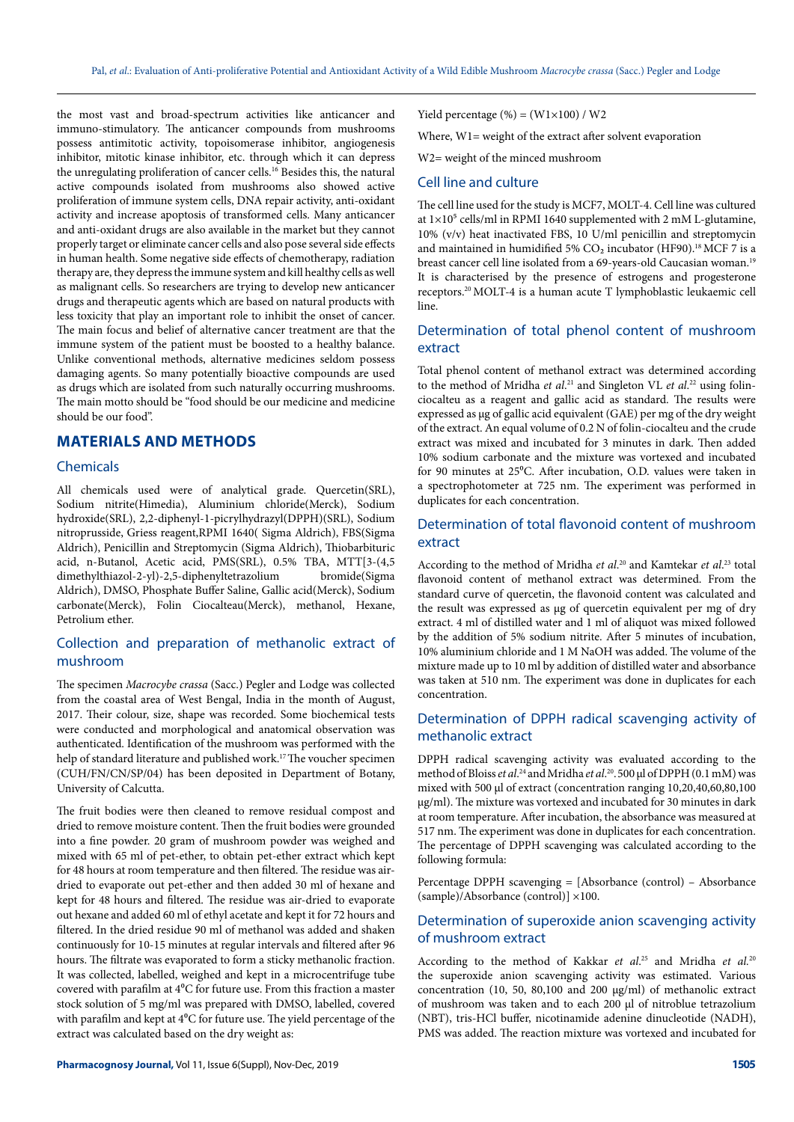the most vast and broad-spectrum activities like anticancer and immuno-stimulatory. The anticancer compounds from mushrooms possess antimitotic activity, topoisomerase inhibitor, angiogenesis inhibitor, mitotic kinase inhibitor, etc. through which it can depress the unregulating proliferation of cancer cells.<sup>16</sup> Besides this, the natural active compounds isolated from mushrooms also showed active proliferation of immune system cells, DNA repair activity, anti-oxidant activity and increase apoptosis of transformed cells. Many anticancer and anti-oxidant drugs are also available in the market but they cannot properly target or eliminate cancer cells and also pose several side effects in human health. Some negative side effects of chemotherapy, radiation therapy are, they depress the immune system and kill healthy cells as well as malignant cells. So researchers are trying to develop new anticancer drugs and therapeutic agents which are based on natural products with less toxicity that play an important role to inhibit the onset of cancer. The main focus and belief of alternative cancer treatment are that the immune system of the patient must be boosted to a healthy balance. Unlike conventional methods, alternative medicines seldom possess damaging agents. So many potentially bioactive compounds are used as drugs which are isolated from such naturally occurring mushrooms. The main motto should be "food should be our medicine and medicine should be our food".

# **MATERIALS AND METHODS**

#### **Chemicals**

All chemicals used were of analytical grade. Quercetin(SRL), Sodium nitrite(Himedia), Aluminium chloride(Merck), Sodium hydroxide(SRL), 2,2-diphenyl-1-picrylhydrazyl(DPPH)(SRL), Sodium nitroprusside, Griess reagent,RPMI 1640( Sigma Aldrich), FBS(Sigma Aldrich), Penicillin and Streptomycin (Sigma Aldrich), Thiobarbituric acid, n-Butanol, Acetic acid, PMS(SRL), 0.5% TBA, MTT[3-(4,5 dimethylthiazol-2-yl)-2,5-diphenyltetrazolium bromide(Sigma Aldrich), DMSO, Phosphate Buffer Saline, Gallic acid(Merck), Sodium carbonate(Merck), Folin Ciocalteau(Merck), methanol, Hexane, Petrolium ether.

# Collection and preparation of methanolic extract of mushroom

The specimen Macrocybe crassa (Sacc.) Pegler and Lodge was collected from the coastal area of West Bengal, India in the month of August, 2017. Their colour, size, shape was recorded. Some biochemical tests were conducted and morphological and anatomical observation was authenticated. Identification of the mushroom was performed with the help of standard literature and published work.<sup>17</sup>The voucher specimen (CUH/FN/CN/SP/04) has been deposited in Department of Botany, University of Calcutta.

The fruit bodies were then cleaned to remove residual compost and dried to remove moisture content. Then the fruit bodies were grounded into a fine powder. 20 gram of mushroom powder was weighed and mixed with 65 ml of pet-ether, to obtain pet-ether extract which kept for 48 hours at room temperature and then filtered. The residue was airdried to evaporate out pet-ether and then added 30 ml of hexane and kept for 48 hours and filtered. The residue was air-dried to evaporate out hexane and added 60 ml of ethyl acetate and kept it for 72 hours and filtered. In the dried residue 90 ml of methanol was added and shaken continuously for 10-15 minutes at regular intervals and filtered after 96 hours. The filtrate was evaporated to form a sticky methanolic fraction. It was collected, labelled, weighed and kept in a microcentrifuge tube covered with parafilm at  $4^{\circ}$ C for future use. From this fraction a master stock solution of 5 mg/ml was prepared with DMSO, labelled, covered with parafilm and kept at  $4^{\circ}$ C for future use. The yield percentage of the extract was calculated based on the dry weight as:

Where, W1= weight of the extract after solvent evaporation

W2= weight of the minced mushroom

#### Cell line and culture

The cell line used for the study is MCF7, MOLT-4. Cell line was cultured at  $1\times10^5$  cells/ml in RPMI 1640 supplemented with 2 mM L-glutamine, 10% (v/v) heat inactivated FBS, 10 U/ml penicillin and streptomycin and maintained in humidified 5%  $\rm CO_2$  incubator (HF90).<sup>18</sup> MCF 7 is a breast cancer cell line isolated from a 69-years-old Caucasian woman.<sup>19</sup> It is characterised by the presence of estrogens and progesterone receptors.<sup>20</sup>MOLT-4 is a human acute T lymphoblastic leukaemic cell line.

# Determination of total phenol content of mushroom extract

Total phenol content of methanol extract was determined according to the method of Mridha et al.<sup>21</sup> and Singleton VL et al.<sup>22</sup> using folinciocalteu as a reagent and gallic acid as standard. The results were expressed as µg of gallic acid equivalent (GAE) per mg of the dry weight of the extract. An equal volume of 0.2 N of folin-ciocalteu and the crude extract was mixed and incubated for 3 minutes in dark. Then added 10% sodium carbonate and the mixture was vortexed and incubated for 90 minutes at 25<sup>o</sup>C. After incubation, O.D. values were taken in a spectrophotometer at 725 nm. The experiment was performed in duplicates for each concentration.

# Determination of total flavonoid content of mushroom extract

According to the method of Mridha et al.<sup>20</sup> and Kamtekar et al.<sup>23</sup> total flavonoid content of methanol extract was determined. From the standard curve of quercetin, the flavonoid content was calculated and the result was expressed as µg of quercetin equivalent per mg of dry extract. 4 ml of distilled water and 1 ml of aliquot was mixed followed by the addition of 5% sodium nitrite. After 5 minutes of incubation, 10% aluminium chloride and 1 M NaOH was added. The volume of the mixture made up to 10 ml by addition of distilled water and absorbance was taken at 510 nm. The experiment was done in duplicates for each concentration.

#### Determination of DPPH radical scavenging activity of methanolic extract

DPPH radical scavenging activity was evaluated according to the method of Bloiss *et al*.<sup>24</sup> and Mridha *et al*.<sup>20</sup>.500 µl of DPPH (0.1 mM) was mixed with 500 µl of extract (concentration ranging 10,20,40,60,80,100 µg/ml). The mixture was vortexed and incubated for 30 minutes in dark at room temperature. After incubation, the absorbance was measured at 517 nm. The experiment was done in duplicates for each concentration. The percentage of DPPH scavenging was calculated according to the following formula:

Percentage DPPH scavenging = [Absorbance (control) – Absorbance (sample)/Absorbance (control)] ×100.

#### Determination of superoxide anion scavenging activity of mushroom extract

According to the method of Kakkar et al.<sup>25</sup> and Mridha et al.<sup>20</sup> the superoxide anion scavenging activity was estimated. Various concentration (10, 50, 80,100 and 200 µg/ml) of methanolic extract of mushroom was taken and to each 200 µl of nitroblue tetrazolium (NBT), tris-HCl buffer, nicotinamide adenine dinucleotide (NADH), PMS was added. The reaction mixture was vortexed and incubated for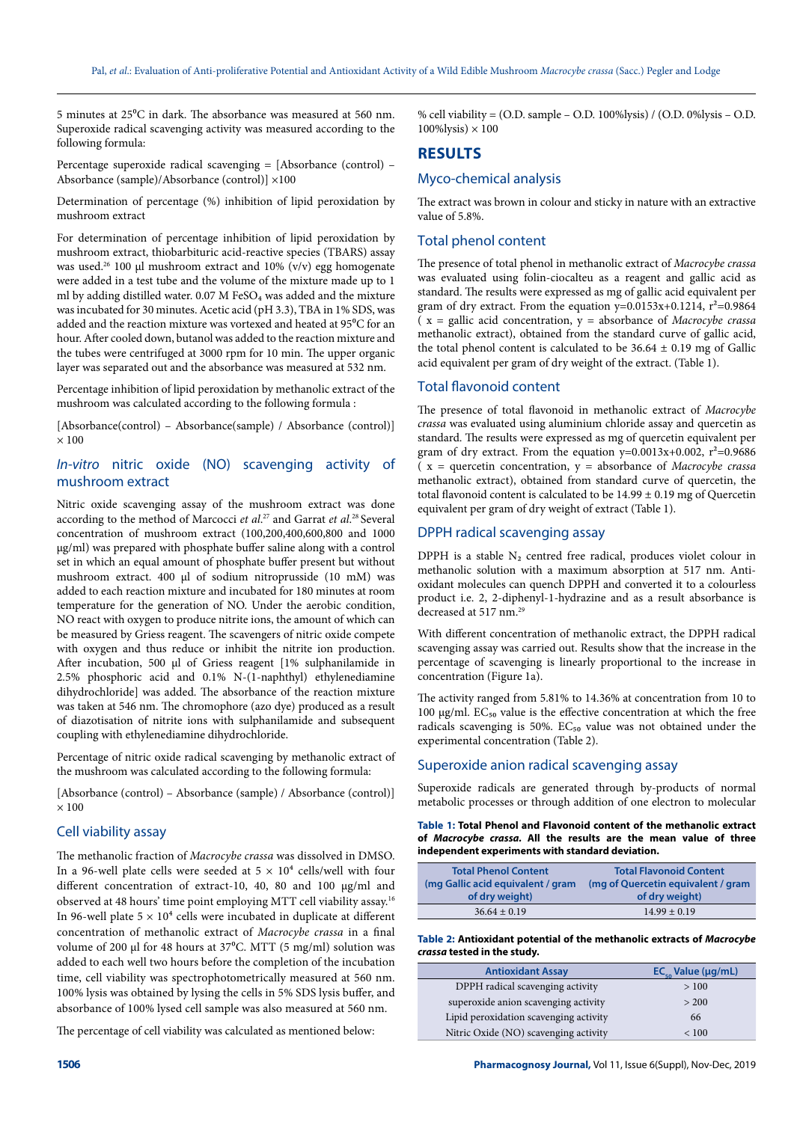5 minutes at 25⁰C in dark. The absorbance was measured at 560 nm. Superoxide radical scavenging activity was measured according to the following formula:

Percentage superoxide radical scavenging = [Absorbance (control) – Absorbance (sample)/Absorbance (control)] ×100

Determination of percentage (%) inhibition of lipid peroxidation by mushroom extract

For determination of percentage inhibition of lipid peroxidation by mushroom extract, thiobarbituric acid-reactive species (TBARS) assay was used.<sup>26</sup> 100 µl mushroom extract and 10%  $(v/v)$  egg homogenate were added in a test tube and the volume of the mixture made up to 1 ml by adding distilled water. 0.07 M FeSO<sub>4</sub> was added and the mixture was incubated for 30 minutes. Acetic acid (pH 3.3), TBA in 1% SDS, was added and the reaction mixture was vortexed and heated at 95°C for an hour. After cooled down, butanol was added to the reaction mixture and the tubes were centrifuged at 3000 rpm for 10 min. The upper organic layer was separated out and the absorbance was measured at 532 nm.

Percentage inhibition of lipid peroxidation by methanolic extract of the mushroom was calculated according to the following formula :

[Absorbance(control) – Absorbance(sample) / Absorbance (control)]  $\times$  100

# In-vitro nitric oxide (NO) scavenging activity of mushroom extract

Nitric oxide scavenging assay of the mushroom extract was done according to the method of Marcocci et al.<sup>27</sup> and Garrat et al.<sup>28</sup> Several concentration of mushroom extract (100,200,400,600,800 and 1000 µg/ml) was prepared with phosphate buffer saline along with a control set in which an equal amount of phosphate buffer present but without mushroom extract. 400 µl of sodium nitroprusside (10 mM) was added to each reaction mixture and incubated for 180 minutes at room temperature for the generation of NO. Under the aerobic condition, NO react with oxygen to produce nitrite ions, the amount of which can be measured by Griess reagent. The scavengers of nitric oxide compete with oxygen and thus reduce or inhibit the nitrite ion production. After incubation, 500 µl of Griess reagent [1% sulphanilamide in 2.5% phosphoric acid and 0.1% N-(1-naphthyl) ethylenediamine dihydrochloride] was added. The absorbance of the reaction mixture was taken at 546 nm. The chromophore (azo dye) produced as a result of diazotisation of nitrite ions with sulphanilamide and subsequent coupling with ethylenediamine dihydrochloride.

Percentage of nitric oxide radical scavenging by methanolic extract of the mushroom was calculated according to the following formula:

[Absorbance (control) – Absorbance (sample) / Absorbance (control)]  $\times$  100

# Cell viability assay

The methanolic fraction of Macrocybe crassa was dissolved in DMSO. In a 96-well plate cells were seeded at  $5 \times 10^4$  cells/well with four different concentration of extract-10, 40, 80 and 100 µg/ml and observed at 48 hours' time point employing MTT cell viability assay.<sup>16</sup> In 96-well plate  $5 \times 10^4$  cells were incubated in duplicate at different concentration of methanolic extract of Macrocybe crassa in a final volume of 200 µl for 48 hours at 37°C. MTT (5 mg/ml) solution was added to each well two hours before the completion of the incubation time, cell viability was spectrophotometrically measured at 560 nm. 100% lysis was obtained by lysing the cells in 5% SDS lysis buffer, and absorbance of 100% lysed cell sample was also measured at 560 nm.

The percentage of cell viability was calculated as mentioned below:

% cell viability = (O.D. sample – O.D. 100%lysis) / (O.D. 0%lysis – O.D.  $100\%$ lysis)  $\times 100$ 

# **RESULTS**

#### Myco-chemical analysis

The extract was brown in colour and sticky in nature with an extractive value of 5.8%.

#### Total phenol content

The presence of total phenol in methanolic extract of Macrocybe crassa was evaluated using folin-ciocalteu as a reagent and gallic acid as standard. The results were expressed as mg of gallic acid equivalent per gram of dry extract. From the equation  $y=0.0153x+0.1214$ ,  $r^2=0.9864$  $(x =$  gallic acid concentration,  $y =$  absorbance of *Macrocybe crassa* methanolic extract), obtained from the standard curve of gallic acid, the total phenol content is calculated to be  $36.64 \pm 0.19$  mg of Gallic acid equivalent per gram of dry weight of the extract. (Table 1).

#### Total flavonoid content

The presence of total flavonoid in methanolic extract of Macrocybe crassa was evaluated using aluminium chloride assay and quercetin as standard. The results were expressed as mg of quercetin equivalent per gram of dry extract. From the equation  $y=0.0013x+0.002$ ,  $r^2=0.9686$  $(x =$  quercetin concentration,  $y =$  absorbance of *Macrocybe crassa* methanolic extract), obtained from standard curve of quercetin, the total flavonoid content is calculated to be  $14.99 \pm 0.19$  mg of Quercetin equivalent per gram of dry weight of extract (Table 1).

#### DPPH radical scavenging assay

DPPH is a stable  $N_2$  centred free radical, produces violet colour in methanolic solution with a maximum absorption at 517 nm. Antioxidant molecules can quench DPPH and converted it to a colourless product i.e. 2, 2-diphenyl-1-hydrazine and as a result absorbance is decreased at 517 nm.<sup>29</sup>

With different concentration of methanolic extract, the DPPH radical scavenging assay was carried out. Results show that the increase in the percentage of scavenging is linearly proportional to the increase in concentration (Figure 1a).

The activity ranged from 5.81% to 14.36% at concentration from 10 to 100  $\mu$ g/ml. EC<sub>50</sub> value is the effective concentration at which the free radicals scavenging is 50%.  $EC_{50}$  value was not obtained under the experimental concentration (Table 2).

#### Superoxide anion radical scavenging assay

Superoxide radicals are generated through by-products of normal metabolic processes or through addition of one electron to molecular

#### **Table 1: Total Phenol and Flavonoid content of the methanolic extract of Macrocybe crassa. All the results are the mean value of three independent experiments with standard deviation.**

| <b>Total Phenol Content</b>       | <b>Total Flavonoid Content</b>      |
|-----------------------------------|-------------------------------------|
| (mg Gallic acid equivalent / gram | (mg of Quercetin equivalent / gram) |
| of dry weight)                    | of dry weight)                      |
| $36.64 \pm 0.19$                  | $14.99 \pm 0.19$                    |

#### **Table 2: Antioxidant potential of the methanolic extracts of Macrocybe crassa tested in the study.**

| <b>Antioxidant Assay</b>               | $EC_{\text{eq}}$ Value ( $\mu$ g/mL) |
|----------------------------------------|--------------------------------------|
| DPPH radical scavenging activity       | >100                                 |
| superoxide anion scavenging activity   | > 200                                |
| Lipid peroxidation scavenging activity | 66                                   |
| Nitric Oxide (NO) scavenging activity  | ${}_{< 100}$                         |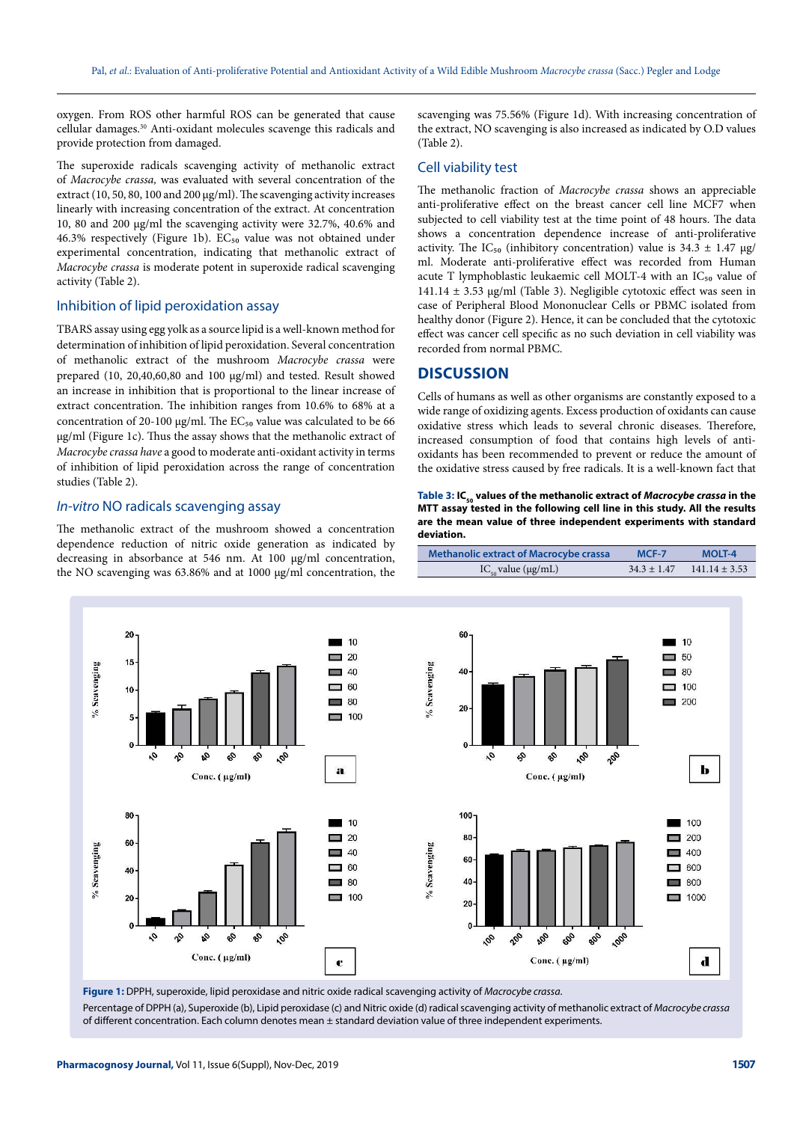oxygen. From ROS other harmful ROS can be generated that cause cellular damages.<sup>30</sup> Anti-oxidant molecules scavenge this radicals and provide protection from damaged.

The superoxide radicals scavenging activity of methanolic extract of Macrocybe crassa, was evaluated with several concentration of the extract (10, 50, 80, 100 and 200 µg/ml). The scavenging activity increases linearly with increasing concentration of the extract. At concentration 10, 80 and 200 µg/ml the scavenging activity were 32.7%, 40.6% and  $46.3\%$  respectively (Figure 1b).  $EC_{50}$  value was not obtained under experimental concentration, indicating that methanolic extract of Macrocybe crassa is moderate potent in superoxide radical scavenging activity (Table 2).

#### Inhibition of lipid peroxidation assay

TBARS assay using egg yolk as a source lipid is a well-known method for determination of inhibition of lipid peroxidation. Several concentration of methanolic extract of the mushroom Macrocybe crassa were prepared (10, 20,40,60,80 and 100 µg/ml) and tested. Result showed an increase in inhibition that is proportional to the linear increase of extract concentration. The inhibition ranges from 10.6% to 68% at a concentration of 20-100  $\mu$ g/ml. The EC<sub>50</sub> value was calculated to be 66 µg/ml (Figure 1c). Thus the assay shows that the methanolic extract of Macrocybe crassa have a good to moderate anti-oxidant activity in terms of inhibition of lipid peroxidation across the range of concentration studies (Table 2).

#### In-vitro NO radicals scavenging assay

The methanolic extract of the mushroom showed a concentration dependence reduction of nitric oxide generation as indicated by decreasing in absorbance at 546 nm. At 100 µg/ml concentration, the NO scavenging was 63.86% and at 1000 µg/ml concentration, the

scavenging was 75.56% (Figure 1d). With increasing concentration of the extract, NO scavenging is also increased as indicated by O.D values (Table 2).

#### Cell viability test

The methanolic fraction of Macrocybe crassa shows an appreciable anti-proliferative effect on the breast cancer cell line MCF7 when subjected to cell viability test at the time point of 48 hours. The data shows a concentration dependence increase of anti-proliferative activity. The IC<sub>50</sub> (inhibitory concentration) value is  $34.3 \pm 1.47$  µg/ ml. Moderate anti-proliferative effect was recorded from Human acute T lymphoblastic leukaemic cell MOLT-4 with an  $IC_{50}$  value of  $141.14 \pm 3.53$  µg/ml (Table 3). Negligible cytotoxic effect was seen in case of Peripheral Blood Mononuclear Cells or PBMC isolated from healthy donor (Figure 2). Hence, it can be concluded that the cytotoxic effect was cancer cell specific as no such deviation in cell viability was recorded from normal PBMC.

#### **DISCUSSION**

Cells of humans as well as other organisms are constantly exposed to a wide range of oxidizing agents. Excess production of oxidants can cause oxidative stress which leads to several chronic diseases. Therefore, increased consumption of food that contains high levels of antioxidants has been recommended to prevent or reduce the amount of the oxidative stress caused by free radicals. It is a well-known fact that

Table 3: IC<sub><sub>50</sub></sub> values of the methanolic extract of *Macrocybe crassa* in the **MTT assay tested in the following cell line in this study. All the results are the mean value of three independent experiments with standard deviation.** 

Methanolic extract of Macrocybe crassa MCF-7 MOLT-4

IC<sub>50</sub> value (μg/mL)  $34.3 \pm 1.47$  141.14  $\pm 3.53$ 



**Figure 1:** DPPH, superoxide, lipid peroxidase and nitric oxide radical scavenging activity of Macrocybe crassa.

Percentage of DPPH (a), Superoxide (b), Lipid peroxidase (c) and Nitric oxide (d) radical scavenging activity of methanolic extract of Macrocybe crassa of different concentration. Each column denotes mean ± standard deviation value of three independent experiments.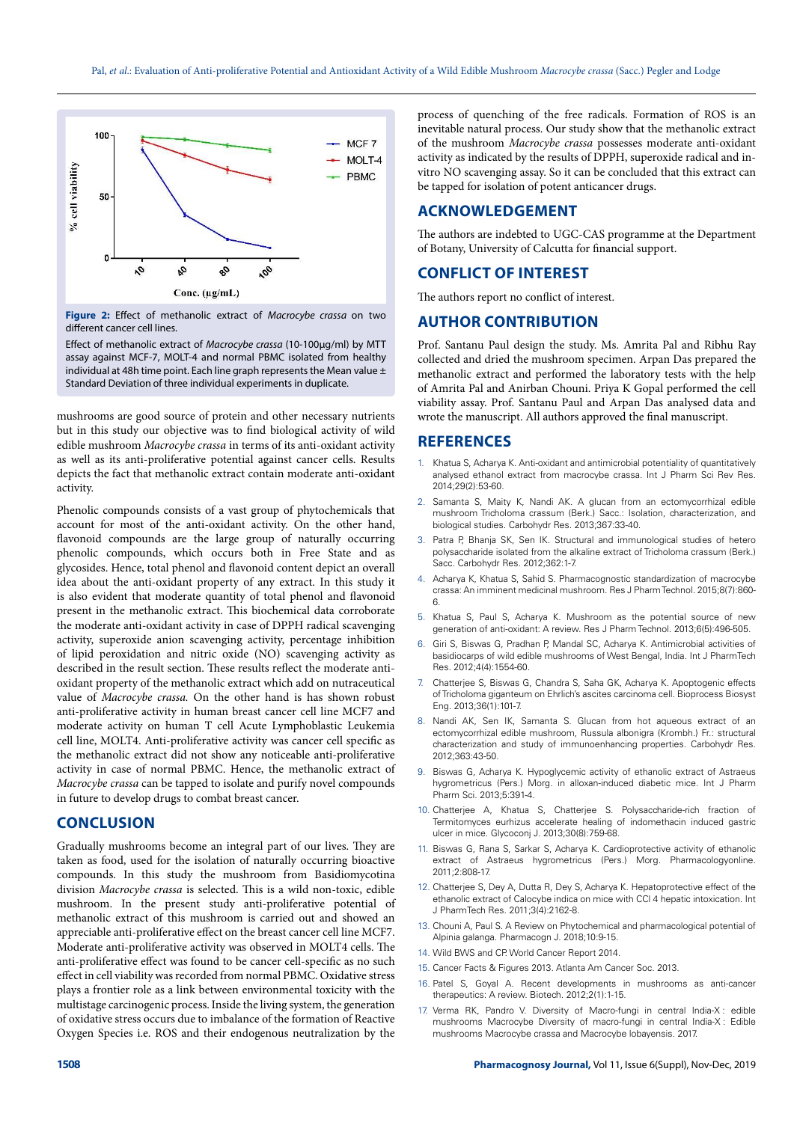

**Figure 2:** Effect of methanolic extract of *Macrocybe crassa* on two different cancer cell lines.

Effect of methanolic extract of Macrocybe crassa (10-100µg/ml) by MTT assay against MCF-7, MOLT-4 and normal PBMC isolated from healthy individual at 48h time point. Each line graph represents the Mean value  $\pm$ Standard Deviation of three individual experiments in duplicate.

mushrooms are good source of protein and other necessary nutrients but in this study our objective was to find biological activity of wild edible mushroom Macrocybe crassa in terms of its anti-oxidant activity as well as its anti-proliferative potential against cancer cells. Results depicts the fact that methanolic extract contain moderate anti-oxidant activity.

Phenolic compounds consists of a vast group of phytochemicals that account for most of the anti-oxidant activity. On the other hand, flavonoid compounds are the large group of naturally occurring phenolic compounds, which occurs both in Free State and as glycosides. Hence, total phenol and flavonoid content depict an overall idea about the anti-oxidant property of any extract. In this study it is also evident that moderate quantity of total phenol and flavonoid present in the methanolic extract. This biochemical data corroborate the moderate anti-oxidant activity in case of DPPH radical scavenging activity, superoxide anion scavenging activity, percentage inhibition of lipid peroxidation and nitric oxide (NO) scavenging activity as described in the result section. These results reflect the moderate antioxidant property of the methanolic extract which add on nutraceutical value of Macrocybe crassa. On the other hand is has shown robust anti-proliferative activity in human breast cancer cell line MCF7 and moderate activity on human T cell Acute Lymphoblastic Leukemia cell line, MOLT4. Anti-proliferative activity was cancer cell specific as the methanolic extract did not show any noticeable anti-proliferative activity in case of normal PBMC. Hence, the methanolic extract of Macrocybe crassa can be tapped to isolate and purify novel compounds in future to develop drugs to combat breast cancer.

#### **CONCLUSION**

Gradually mushrooms become an integral part of our lives. They are taken as food, used for the isolation of naturally occurring bioactive compounds. In this study the mushroom from Basidiomycotina division Macrocybe crassa is selected. This is a wild non-toxic, edible mushroom. In the present study anti-proliferative potential of methanolic extract of this mushroom is carried out and showed an appreciable anti-proliferative effect on the breast cancer cell line MCF7. Moderate anti-proliferative activity was observed in MOLT4 cells. The anti-proliferative effect was found to be cancer cell-specific as no such effect in cell viability was recorded from normal PBMC. Oxidative stress plays a frontier role as a link between environmental toxicity with the multistage carcinogenic process. Inside the living system, the generation of oxidative stress occurs due to imbalance of the formation of Reactive Oxygen Species i.e. ROS and their endogenous neutralization by the process of quenching of the free radicals. Formation of ROS is an inevitable natural process. Our study show that the methanolic extract of the mushroom Macrocybe crassa possesses moderate anti-oxidant activity as indicated by the results of DPPH, superoxide radical and invitro NO scavenging assay. So it can be concluded that this extract can be tapped for isolation of potent anticancer drugs.

#### **ACKNOWLEDGEMENT**

The authors are indebted to UGC-CAS programme at the Department of Botany, University of Calcutta for financial support.

#### **CONFLICT OF INTEREST**

The authors report no conflict of interest.

#### **AUTHOR CONTRIBUTION**

Prof. Santanu Paul design the study. Ms. Amrita Pal and Ribhu Ray collected and dried the mushroom specimen. Arpan Das prepared the methanolic extract and performed the laboratory tests with the help of Amrita Pal and Anirban Chouni. Priya K Gopal performed the cell viability assay. Prof. Santanu Paul and Arpan Das analysed data and wrote the manuscript. All authors approved the final manuscript.

#### **REFERENCES**

- Khatua S, Acharya K. Anti-oxidant and antimicrobial potentiality of quantitatively analysed ethanol extract from macrocybe crassa. Int J Pharm Sci Rev Res. 2014;29(2):53-60.
- 2. Samanta S, Maity K, Nandi AK. A glucan from an ectomycorrhizal edible mushroom Tricholoma crassum (Berk.) Sacc.: Isolation, characterization, and biological studies. Carbohydr Res. 2013;367:33-40.
- 3. Patra P, Bhanja SK, Sen IK. Structural and immunological studies of hetero polysaccharide isolated from the alkaline extract of Tricholoma crassum (Berk.) Sacc. Carbohydr Res. 2012;362:1-7.
- 4. Acharya K, Khatua S, Sahid S. Pharmacognostic standardization of macrocybe crassa: An imminent medicinal mushroom. Res J Pharm Technol. 2015;8(7):860- 6.
- Khatua S, Paul S, Acharya K. Mushroom as the potential source of new generation of anti-oxidant: A review. Res J Pharm Technol. 2013;6(5):496-505.
- 6. Giri S, Biswas G, Pradhan P, Mandal SC, Acharya K. Antimicrobial activities of basidiocarps of wild edible mushrooms of West Bengal, India. Int J PharmTech Res. 2012;4(4):1554-60.
- 7. Chatterjee S, Biswas G, Chandra S, Saha GK, Acharya K. Apoptogenic effects of Tricholoma giganteum on Ehrlich's ascites carcinoma cell. Bioprocess Biosyst Eng. 2013;36(1):101-7.
- 8. Nandi AK, Sen IK, Samanta S. Glucan from hot aqueous extract of an ectomycorrhizal edible mushroom, Russula albonigra (Krombh.) Fr.: structural characterization and study of immunoenhancing properties. Carbohydr Res. 2012;363:43-50.
- 9. Biswas G, Acharya K. Hypoglycemic activity of ethanolic extract of Astraeus hygrometricus (Pers.) Morg. in alloxan-induced diabetic mice. Int J Pharm Pharm Sci. 2013;5:391-4.
- 10. Chatterjee A, Khatua S, Chatterjee S. Polysaccharide-rich fraction of Termitomyces eurhizus accelerate healing of indomethacin induced gastric ulcer in mice. Glycoconj J. 2013;30(8):759-68.
- 11. Biswas G, Rana S, Sarkar S, Acharya K. Cardioprotective activity of ethanolic extract of Astraeus hygrometricus (Pers.) Morg. Pharmacologyonline. 2011;2:808-17.
- 12. Chatterjee S, Dey A, Dutta R, Dey S, Acharya K. Hepatoprotective effect of the ethanolic extract of Calocybe indica on mice with CCl 4 hepatic intoxication. Int J PharmTech Res. 2011;3(4):2162-8.
- 13. Chouni A, Paul S. A Review on Phytochemical and pharmacological potential of Alpinia galanga. Pharmacogn J. 2018;10:9-15.
- 14. Wild BWS and CP. World Cancer Report 2014.
- 15. Cancer Facts & Figures 2013. Atlanta Am Cancer Soc. 2013.
- 16. Patel S, Goyal A. Recent developments in mushrooms as anti-cancer therapeutics: A review. Biotech. 2012;2(1):1-15.
- Verma RK, Pandro V. Diversity of Macro-fungi in central India-X : edible mushrooms Macrocybe Diversity of macro-fungi in central India-X : Edible mushrooms Macrocybe crassa and Macrocybe lobayensis. 2017.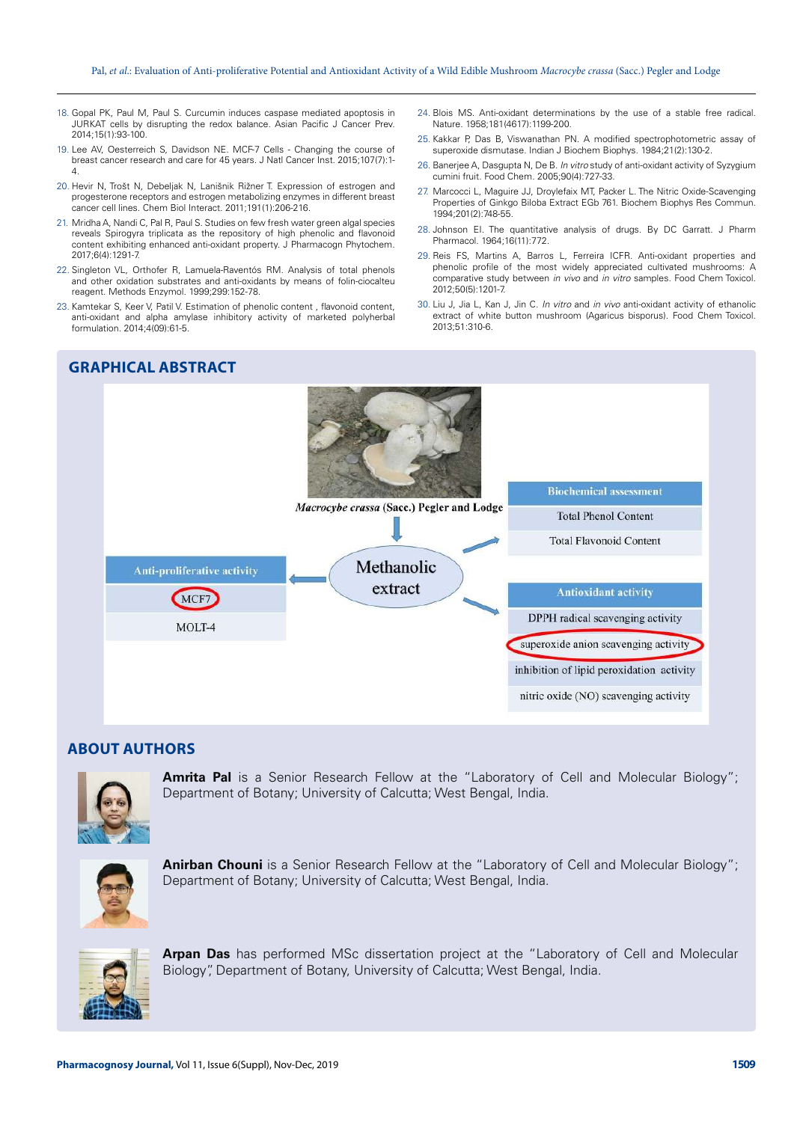- 18. Gopal PK, Paul M, Paul S. Curcumin induces caspase mediated apoptosis in JURKAT cells by disrupting the redox balance. Asian Pacific J Cancer Prev. 2014;15(1):93-100.
- 19. Lee AV, Oesterreich S, Davidson NE. MCF-7 Cells Changing the course of breast cancer research and care for 45 years. J Natl Cancer Inst. 2015;107(7):1- 4.
- 20. Hevir N, Trošt N, Debeljak N, Lanišnik Rižner T. Expression of estrogen and progesterone receptors and estrogen metabolizing enzymes in different breast cancer cell lines. Chem Biol Interact. 2011;191(1):206-216.
- 21. Mridha A, Nandi C, Pal R, Paul S. Studies on few fresh water green algal species reveals Spirogyra triplicata as the repository of high phenolic and flavonoid content exhibiting enhanced anti-oxidant property. J Pharmacogn Phytochem. 2017;6(4):1291-7.
- 22. Singleton VL, Orthofer R, Lamuela-Raventós RM. Analysis of total phenols and other oxidation substrates and anti-oxidants by means of folin-ciocalteu reagent. Methods Enzymol. 1999;299:152-78.
- 23. Kamtekar S, Keer V, Patil V. Estimation of phenolic content , flavonoid content, anti-oxidant and alpha amylase inhibitory activity of marketed polyherbal formulation. 2014;4(09):61-5.

# **GRAPHICAL ABSTRACT**

- 24. Blois MS. Anti-oxidant determinations by the use of a stable free radical. Nature. 1958;181(4617):1199-200.
- 25. Kakkar P, Das B, Viswanathan PN. A modified spectrophotometric assay of superoxide dismutase. Indian J Biochem Biophys. 1984;21(2):130-2.
- 26. Banerjee A, Dasgupta N, De B. In vitro study of anti-oxidant activity of Syzygium cumini fruit. Food Chem. 2005;90(4):727-33.
- 27. Marcocci L, Maguire JJ, Droylefaix MT, Packer L. The Nitric Oxide-Scavenging Properties of Ginkgo Biloba Extract EGb 761. Biochem Biophys Res Commun. 1994;201(2):748-55.
- 28. Johnson EI. The quantitative analysis of drugs. By DC Garratt. J Pharm Pharmacol. 1964;16(11):772.
- 29. Reis FS, Martins A, Barros L, Ferreira ICFR. Anti-oxidant properties and phenolic profile of the most widely appreciated cultivated mushrooms: A comparative study between in vivo and in vitro samples. Food Chem Toxicol. 2012;50(5):1201-7.
- 30. Liu J, Jia L, Kan J, Jin C. In vitro and in vivo anti-oxidant activity of ethanolic extract of white button mushroom (Agaricus bisporus). Food Chem Toxicol. 2013;51:310-6.



#### **ABOUT AUTHORS**



**Amrita Pal** is a Senior Research Fellow at the "Laboratory of Cell and Molecular Biology"; Department of Botany; University of Calcutta; West Bengal, India.



Anirban Chouni is a Senior Research Fellow at the "Laboratory of Cell and Molecular Biology"; Department of Botany; University of Calcutta; West Bengal, India.



**Arpan Das** has performed MSc dissertation project at the "Laboratory of Cell and Molecular Biology", Department of Botany, University of Calcutta; West Bengal, India.